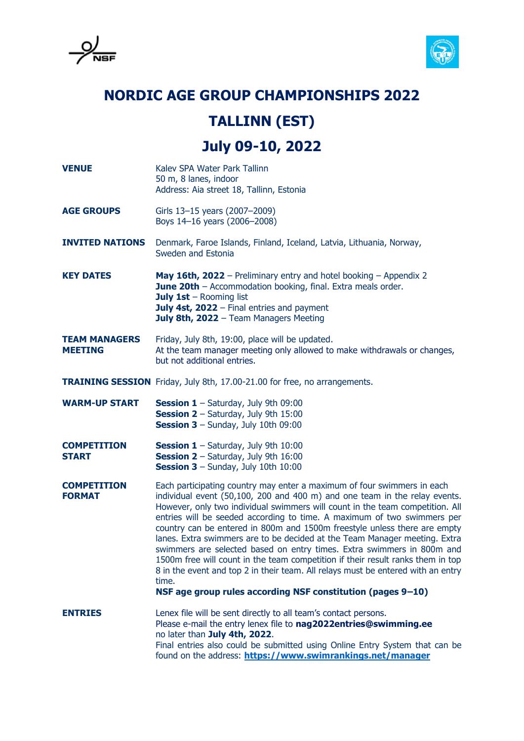

## **NORDIC AGE GROUP CHAMPIONSHIPS 2022**

## **TALLINN (EST)**

**July 09-10, 2022**

**VENUE** Kalev SPA Water Park Tallinn 50 m, 8 lanes, indoor Address: Aia street 18, Tallinn, Estonia **AGE GROUPS** Girls 13-15 years (2007-2009) Boys 14–16 years (2006–2008) **INVITED NATIONS** Denmark, Faroe Islands, Finland, Iceland, Latvia, Lithuania, Norway, Sweden and Estonia **KEY DATES May 16th, 2022** – Preliminary entry and hotel booking – Appendix 2 **June 20th** – Accommodation booking, final. Extra meals order. **July 1st** – Rooming list **July 4st, 2022** – Final entries and payment **July 8th, 2022** – Team Managers Meeting **TEAM MANAGERS** Friday, July 8th, 19:00, place will be updated. **MEETING** At the team manager meeting only allowed to make withdrawals or changes, but not additional entries. **TRAINING SESSION** Friday, July 8th, 17.00-21.00 for free, no arrangements. WARM-UP START **Session 1** – Saturday, July 9th 09:00 **Session 2** – Saturday, July 9th 15:00 **Session 3 – Sunday, July 10th 09:00 COMPETITION Session 1** – Saturday, July 9th 10:00 **START Session 2** – Saturday, July 9th 16:00 **Session 3** – Sunday, July 10th 10:00 **COMPETITION** Each participating country may enter a maximum of four swimmers in each **FORMAT** individual event (50,100, 200 and 400 m) and one team in the relay events. However, only two individual swimmers will count in the team competition. All entries will be seeded according to time. A maximum of two swimmers per country can be entered in 800m and 1500m freestyle unless there are empty lanes. Extra swimmers are to be decided at the Team Manager meeting. Extra swimmers are selected based on entry times. Extra swimmers in 800m and 1500m free will count in the team competition if their result ranks them in top 8 in the event and top 2 in their team. All relays must be entered with an entry time. **NSF age group rules according NSF constitution (pages 9–10) ENTRIES** Lenex file will be sent directly to all team's contact persons. Please e-mail the entry lenex file to **nag2022entries@swimming.ee** no later than **July 4th, 2022**. Final entries also could be submitted using Online Entry System that can be

found on the address: **<https://www.swimrankings.net/manager>**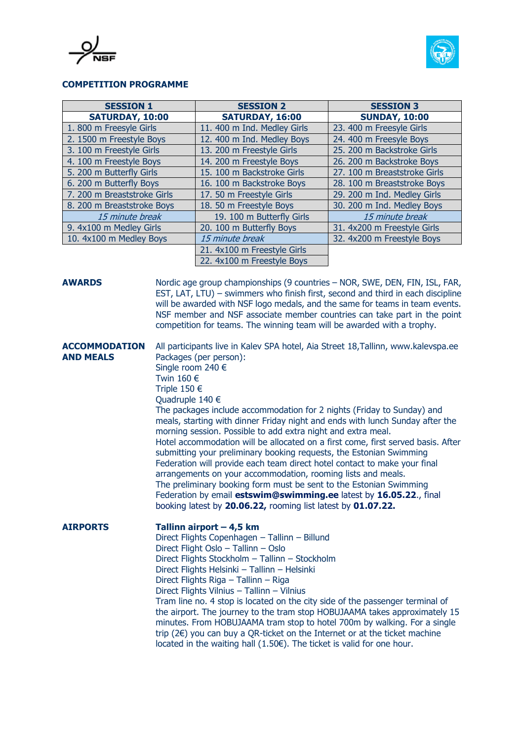



## **COMPETITION PROGRAMME**

| <b>SESSION 1</b>            | <b>SESSION 2</b>            | <b>SESSION 3</b>             |
|-----------------------------|-----------------------------|------------------------------|
| SATURDAY, 10:00             | SATURDAY, 16:00             | <b>SUNDAY, 10:00</b>         |
| 1.800 m Freesyle Girls      | 11. 400 m Ind. Medley Girls | 23. 400 m Freesyle Girls     |
| 2. 1500 m Freestyle Boys    | 12. 400 m Ind. Medley Boys  | 24. 400 m Freesyle Boys      |
| 3. 100 m Freestyle Girls    | 13. 200 m Freestyle Girls   | 25. 200 m Backstroke Girls   |
| 4. 100 m Freestyle Boys     | 14. 200 m Freestyle Boys    | 26. 200 m Backstroke Boys    |
| 5. 200 m Butterfly Girls    | 15. 100 m Backstroke Girls  | 27. 100 m Breaststroke Girls |
| 6. 200 m Butterfly Boys     | 16. 100 m Backstroke Boys   | 28. 100 m Breaststroke Boys  |
| 7. 200 m Breaststroke Girls | 17. 50 m Freestyle Girls    | 29. 200 m Ind. Medley Girls  |
| 8. 200 m Breaststroke Boys  | 18. 50 m Freestyle Boys     | 30. 200 m Ind. Medley Boys   |
| 15 minute break             | 19. 100 m Butterfly Girls   | 15 minute break              |
| 9. 4x100 m Medley Girls     | 20. 100 m Butterfly Boys    | 31. 4x200 m Freestyle Girls  |
| 10. 4x100 m Medley Boys     | 15 minute break             | 32. 4x200 m Freestyle Boys   |
|                             | 21. 4x100 m Freestyle Girls |                              |
|                             | 22. 4x100 m Freestyle Boys  |                              |

**AWARDS** Nordic age group championships (9 countries – NOR, SWE, DEN, FIN, ISL, FAR, EST, LAT, LTU) – swimmers who finish first, second and third in each discipline will be awarded with NSF logo medals, and the same for teams in team events. NSF member and NSF associate member countries can take part in the point competition for teams. The winning team will be awarded with a trophy.

**ACCOMMODATION** All participants live in Kalev SPA hotel, Aia Street 18,Tallinn, www.kalevspa.ee **AND MEALS** Packages (per person): Single room 240 € Twin 160 € Triple 150 € Quadruple 140 € The packages include accommodation for 2 nights (Friday to Sunday) and meals, starting with dinner Friday night and ends with lunch Sunday after the morning session. Possible to add extra night and extra meal.

> Hotel accommodation will be allocated on a first come, first served basis. After submitting your preliminary booking requests, the Estonian Swimming Federation will provide each team direct hotel contact to make your final arrangements on your accommodation, rooming lists and meals. The preliminary booking form must be sent to the Estonian Swimming Federation by email **estswim@swimming.ee** latest by **16.05.22**., final booking latest by **20.06.22,** rooming list latest by **01.07.22.**

**AIRPORTS Tallinn airport – 4,5 km** Direct Flights Copenhagen – Tallinn – Billund Direct Flight Oslo – Tallinn – Oslo Direct Flights Stockholm – Tallinn – Stockholm Direct Flights Helsinki – Tallinn – Helsinki Direct Flights Riga – Tallinn – Riga Direct Flights Vilnius – Tallinn – Vilnius Tram line no. 4 stop is located on the city side of the passenger terminal of

the airport. The journey to the tram stop HOBUJAAMA takes approximately 15 minutes. From HOBUJAAMA tram stop to hotel 700m by walking. For a single trip (2€) you can buy a QR-ticket on the Internet or at the ticket machine located in the waiting hall  $(1.50)$ . The ticket is valid for one hour.